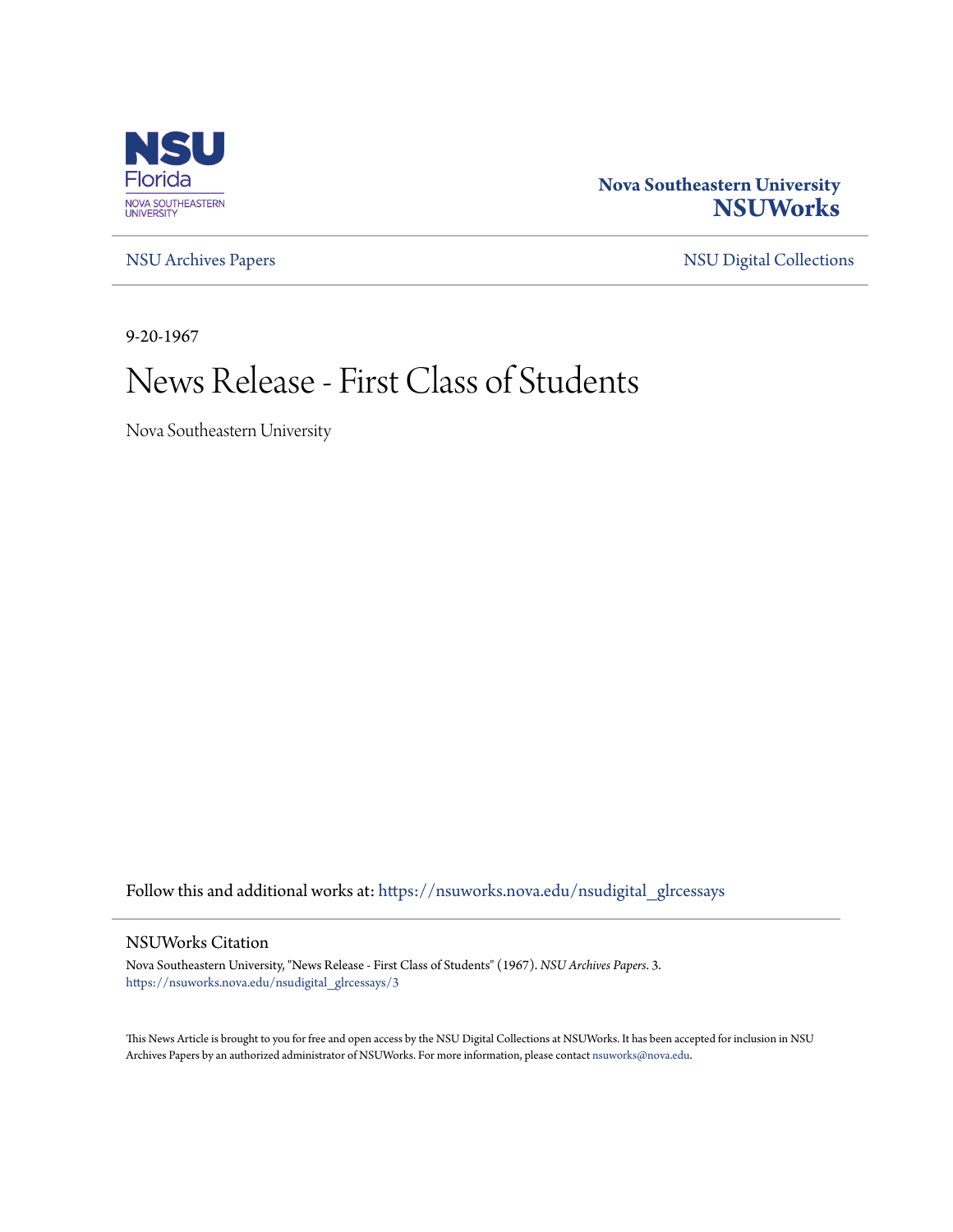

## **Nova Southeastern University [NSUWorks](https://nsuworks.nova.edu?utm_source=nsuworks.nova.edu%2Fnsudigital_glrcessays%2F3&utm_medium=PDF&utm_campaign=PDFCoverPages)**

[NSU Archives Papers](https://nsuworks.nova.edu/nsudigital_glrcessays?utm_source=nsuworks.nova.edu%2Fnsudigital_glrcessays%2F3&utm_medium=PDF&utm_campaign=PDFCoverPages) [NSU Digital Collections](https://nsuworks.nova.edu/nsudigital?utm_source=nsuworks.nova.edu%2Fnsudigital_glrcessays%2F3&utm_medium=PDF&utm_campaign=PDFCoverPages)

9-20-1967

## News Release - First Class of Students

Nova Southeastern University

Follow this and additional works at: [https://nsuworks.nova.edu/nsudigital\\_glrcessays](https://nsuworks.nova.edu/nsudigital_glrcessays?utm_source=nsuworks.nova.edu%2Fnsudigital_glrcessays%2F3&utm_medium=PDF&utm_campaign=PDFCoverPages)

## NSUWorks Citation

Nova Southeastern University, "News Release - First Class of Students" (1967). *NSU Archives Papers*. 3. [https://nsuworks.nova.edu/nsudigital\\_glrcessays/3](https://nsuworks.nova.edu/nsudigital_glrcessays/3?utm_source=nsuworks.nova.edu%2Fnsudigital_glrcessays%2F3&utm_medium=PDF&utm_campaign=PDFCoverPages)

This News Article is brought to you for free and open access by the NSU Digital Collections at NSUWorks. It has been accepted for inclusion in NSU Archives Papers by an authorized administrator of NSUWorks. For more information, please contact [nsuworks@nova.edu](mailto:nsuworks@nova.edu).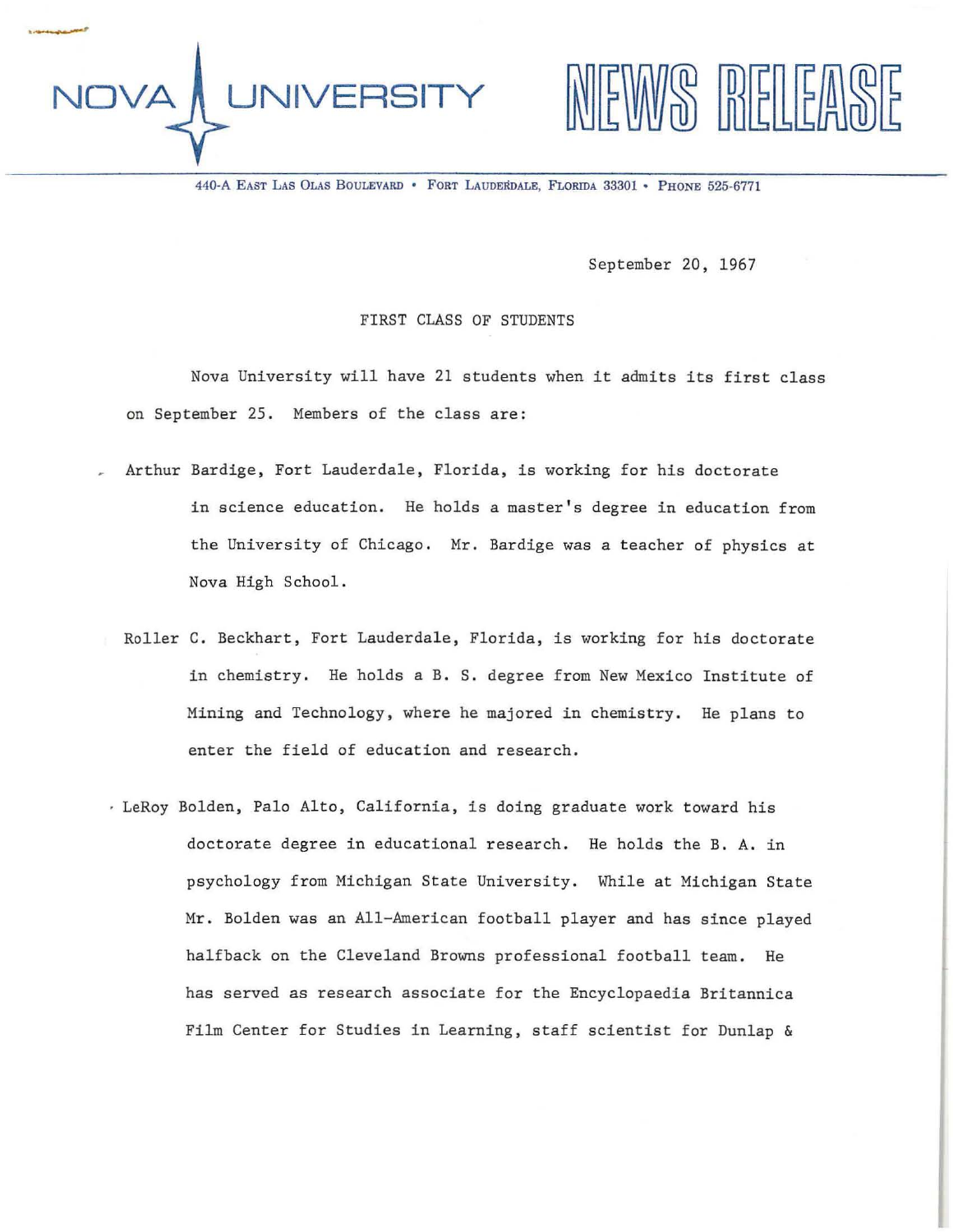## **NIVERSITY**

EWS RELEASE

**440·A EAST LAS DLAS BOULEVARD • FORT LAUDERDALE, FLORIDA 33301 .. PHONE 525·6771** 

September 20, 1967

FIRST CLASS OF STUDENTS

Nova University will have 21 students when it admits its first class on September 25. Members of the class are:

- Arthur Bardige, Fort Lauderdale, Florida, is working for his doctorate in science education. He holds a master's degree in education from the University of Chicago. Mr. Bardige was a teacher of physics at Nova High School.
	- Roller C. Beckhart, Fort Lauderdale, Florida, is working for his doctorate in chemistry. He holds a B. S. degree from New Mexico Institute of Mining and Technology, where he majored in chemistry. He plans to enter the field of education and research .
- . LeRoy Bolden, Palo Alto, California, is doing graduate work toward his doctorate degree in educational research. He holds the B. A. in psychology from Michigan State University. While at Michigan State Mr. Bolden was an All-American football player and has since played halfback on the Cleveland Browns professional football team. He has served as research associate for the Encyclopaedia Britannica Film Center for Studies in Learning, staff scientist for Dunlap &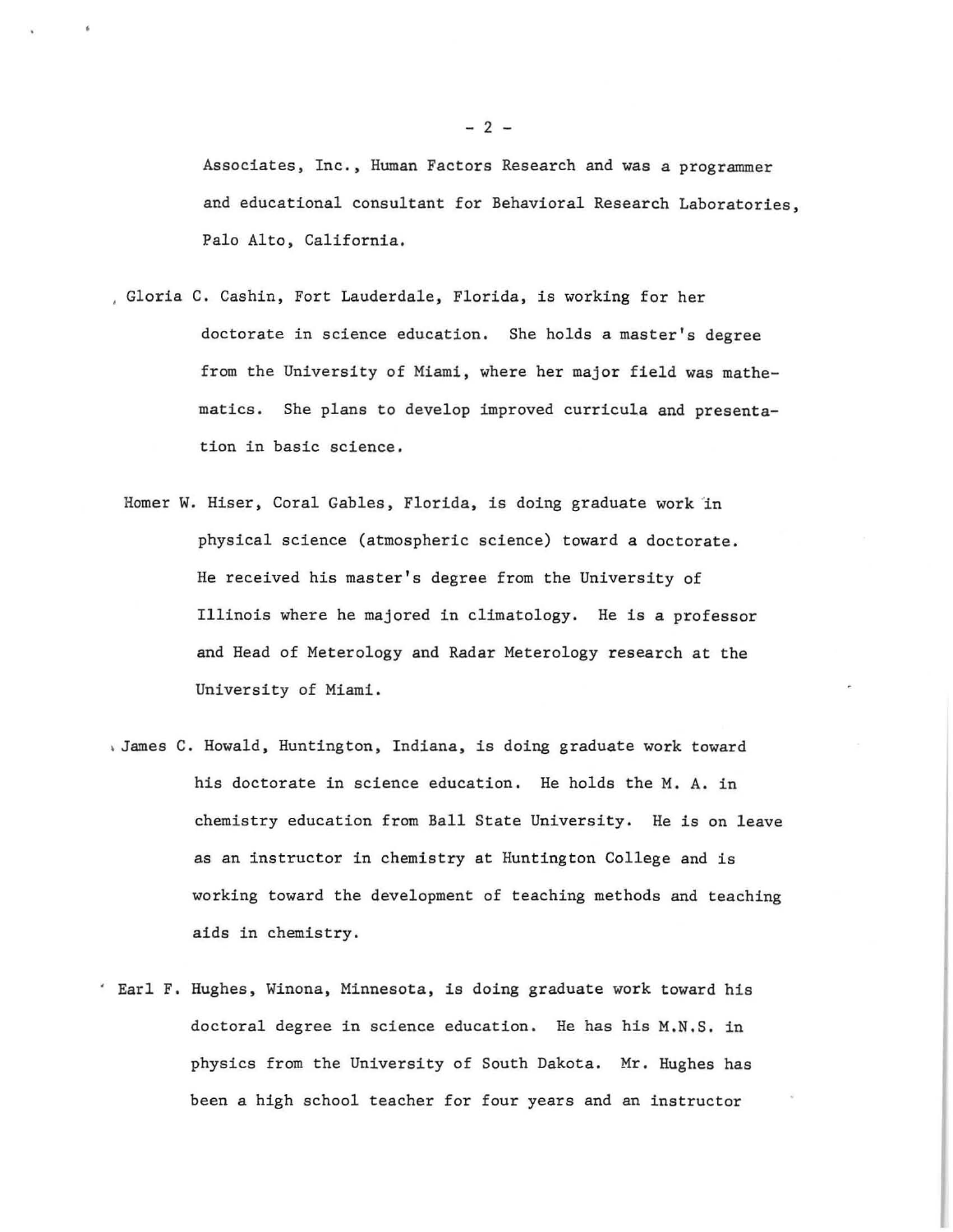Associates, Inc., Human Factors Research and was a programmer and educational consultant for Behavioral Research Laboratories, Palo Alto, California.

- . Gloria C. Cashin, Fort Lauderdale, Florida, is working for her doctorate in science education. She holds a master's degree from the University of Miami, where her major field was mathematics. She plans to develop improved curricula and presentation in basic science.
- Homer W. Hiser, Coral Gables, Florida, is doing graduate work in physical science (atmospheric science) toward a doctorate. He received his master's degree from the University of Illinois where he majored in climatology. He is a professor and Head of Meterology and Radar Meterology research at the University of Miami .
- James C. Howald, Huntington, Indiana, is doing graduate work toward his doctorate in science education. He holds the M. A. in chemistry education from Ball State University. He is on leave as an instructor in chemistry at Huntington College and is working toward the development of teaching methods and teaching aids in chemistry .
- . Earl F. Hughes, Winona, Minnesota, is doing graduate work toward his doctoral degree in science education. He has his M.N.S. in physics from the University of South Dakota. Mr. Hughes has been a high school teacher for four years and an instructor

 $- 2 -$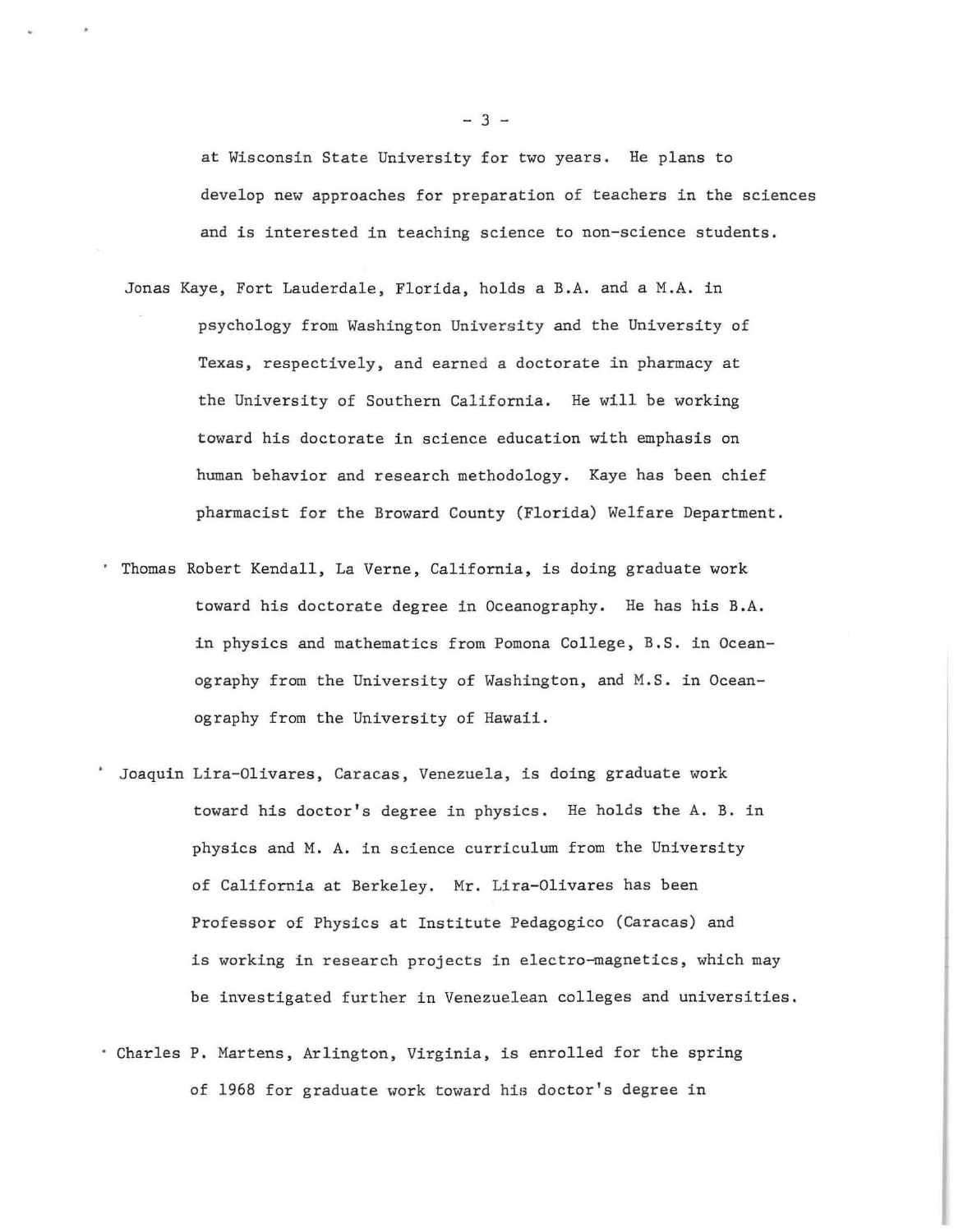at Wisconsin State University for two years. He plans to develop new approaches for preparation of teachers in the sciences and is interested in teaching science to non-science students.

- Jonas Kaye, Fort Lauderdale, Florida, holds a B.A. and a M.A. in psychology from Washington University and the University of Texas, respectively, and earned a doctorate in pharmacy at the University of Southern California. He will be working toward his doctorate in science education with emphasis on human behavior and research methodology. Kaye has been chief pharmacist for the Broward County (Florida) Welfare Department.
- . Thomas Robert Kendall, La Verne, California, is doing graduate work toward his doctorate degree in Oceanography. He has his B.A. in physics and mathematics from Pomona College, B.S. in Oceanography from the University of Washington, and M.S. in Oceanography from the University of Hawaii.
- Joaquin Lira-Olivares, Caracas, Venezuela, is doing graduate work toward his doctor's degree in physics. He holds the A. B. in physics and M. A. in science curriculum from the University of California at Berkeley. Mr. Lira-Olivares has been Professor of Physics at Institute Pedagogico (Caracas) and is working in research projects in electro-magnetics, which may be investigated further in Venezuelean colleges and universities .
- . Charles P. Martens, Arlington, Virginia, is enrolled for the spring of 1968 for graduate work toward his doctor's degree in

 $-3 -$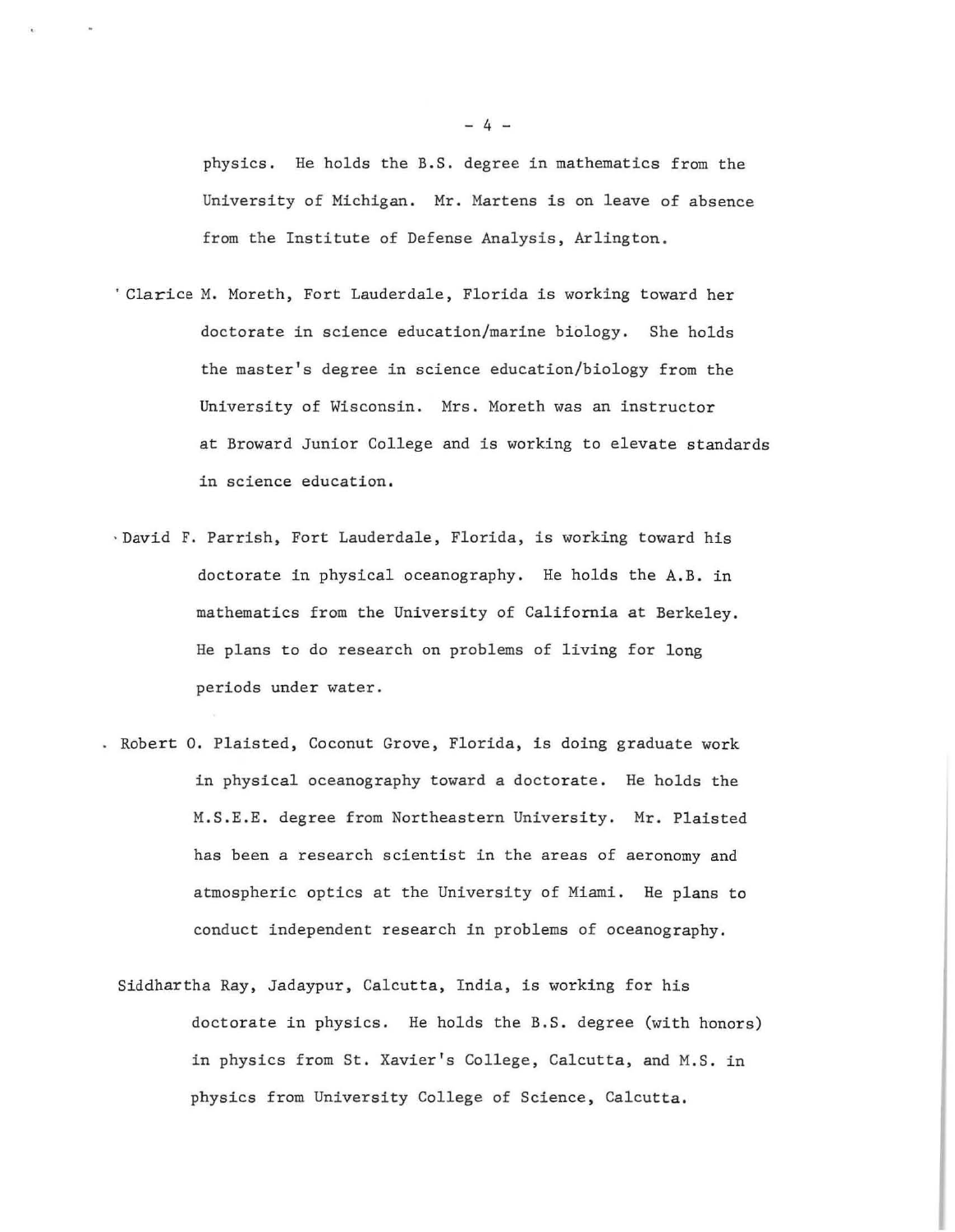physics. He holds the B.S. degree in mathematics from the University of Michigan. Mr. Martens is on leave of absence from the Institute of Defense Analysis, Arlington.

- . Clarice M. Moreth, Fort Lauderdale, Florida is working toward her doctorate in science education/marine biology. She holds the master's degree in science education/biology from the University of Wisconsin. Mrs. Moreth was an instructor at Broward Junior College and is working to elevate standards **in science education.**
- · David F. Parrish, Fort Lauderdale, Florida, is working toward his doctorate in physical oceanography. He holds the A.B. in mathematics from the University of California at Berkeley. He plans to do research on problems of living for long periods under water .
- . Robert O. Plaisted, Coconut Grove, Florida, is doing graduate work in physical oceanography toward a doctorate. He holds the M.S.E.E. degree from Northeastern University. Mr. Plaisted **has been a research scientist in the areas of aeronomy and**  atmospheric optics at the University of Miami. He plans to conduct independent research in problems of oceanography.
	- Siddhartha Ray, Jadaypur, Calcutta, India, is working for his doctorate in physics. He holds the B.S. degree (with honors) in physics from St. Xavier's College, Calcutta, and M.S. in physics from University College of Science, Calcutta.

 $-4 -$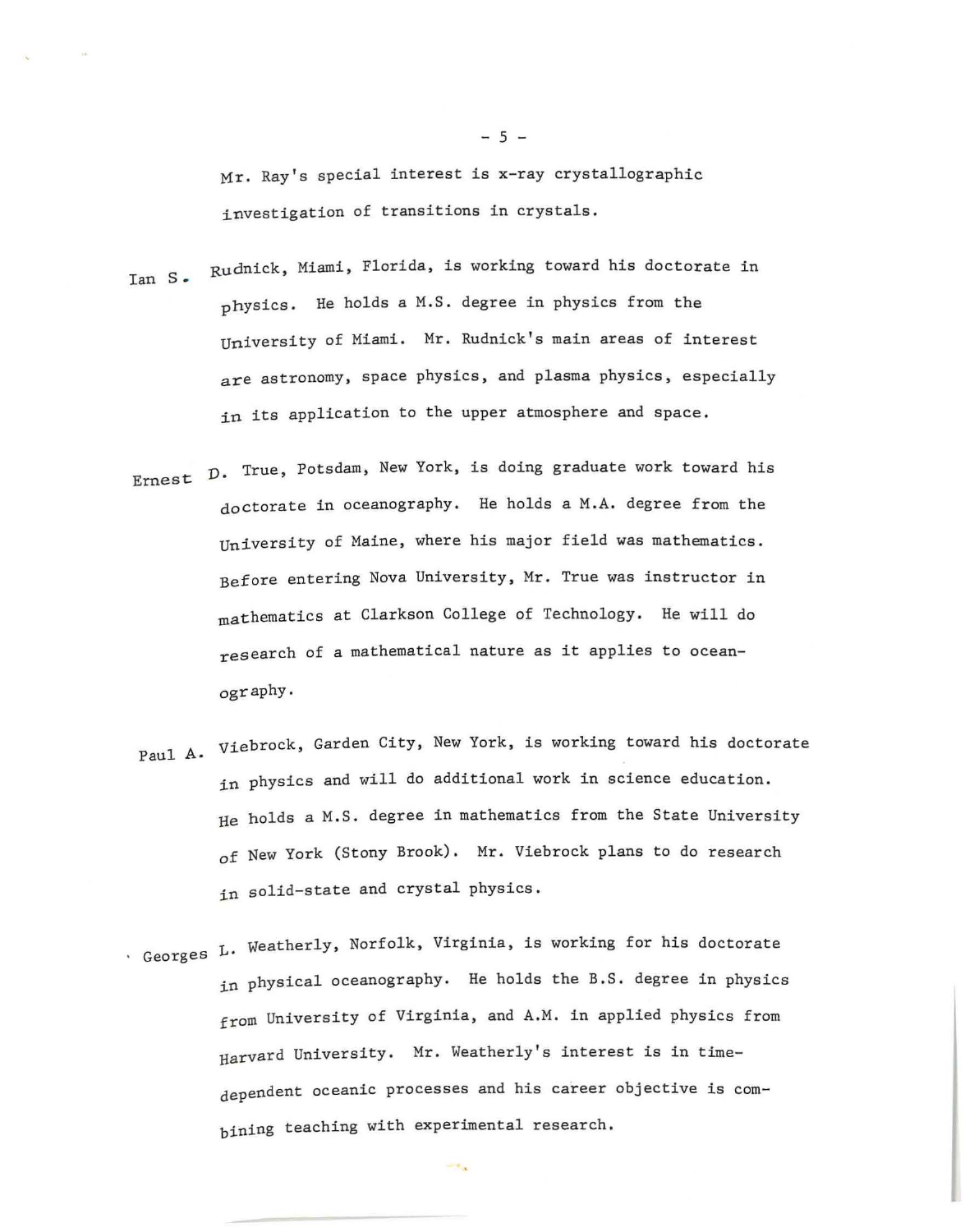Mr. Ray's special interest is x-ray crystallographic investigation of transitions in crystals.

- 1m S. Rudnick, Miami, Florida, is working toward his doctorate in physics. He holds a M.S. degree in physics from the university of Miami. Mr. Rudnick's main areas of interest are astronomy, space physics, and plasma physics, especially in its application to the upper atmosphere and space.
- Ernest D. True, Potsdam, New York, is doing graduate work toward his doctorate in oceanography. He holds a M.A. degree from the University of Maine, where his major field was mathematics. Before entering Nova University, Mr. True was instructor in mathematics at Clarkson College of Technology. He will do research of a mathematical nature as it applies to oceanography.
- Paul A. Viebrock, Garden City, New York, is working toward his doctorate in physics and will do additional work in science education. He holds a M.S. degree in mathematics from the State University of New York (Stony Brook). Mr. Viebrock plans to do research in solid-state and crystal physics.
- $\cdot$  Georges L. Weatherly, Norfolk, Virginia, is working for his doctorate in physical oceanography. He holds the B.S. degree in physics from University of Virginia, and A.M. in applied physics from Harvard University. Mr. Weatherly's interest is in timedependent oceanic processes and his career objective is combining teaching with experimental research.

-- 3

 $-5 -$